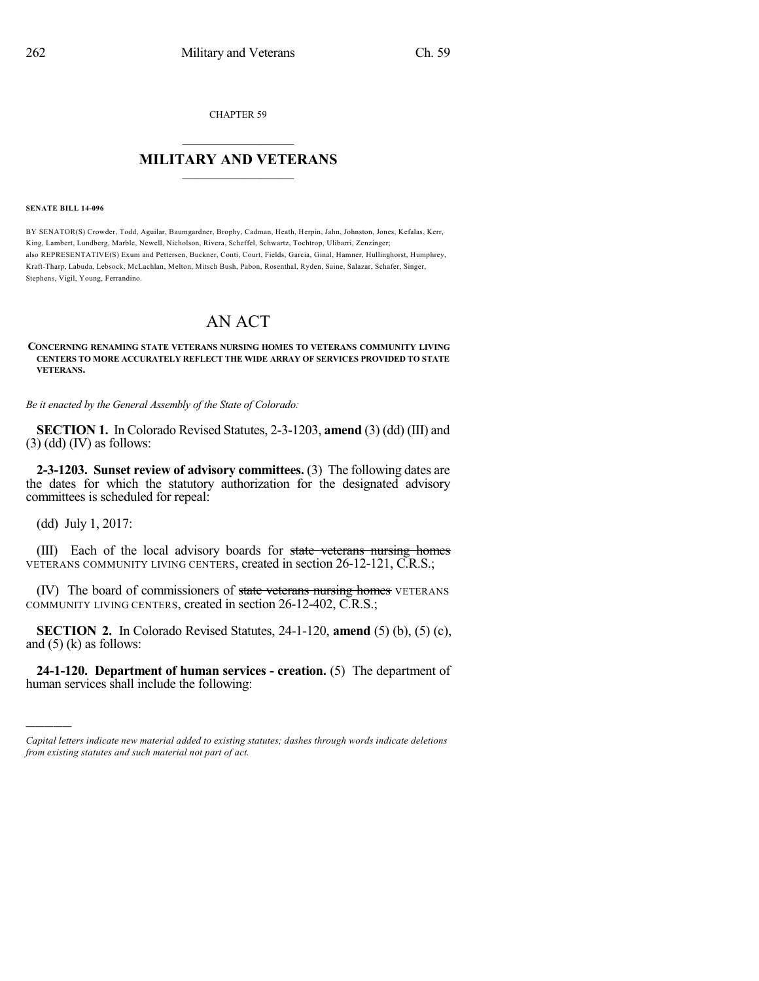CHAPTER 59

## $\mathcal{L}_\text{max}$  . The set of the set of the set of the set of the set of the set of the set of the set of the set of the set of the set of the set of the set of the set of the set of the set of the set of the set of the set **MILITARY AND VETERANS**  $\frac{1}{2}$  ,  $\frac{1}{2}$  ,  $\frac{1}{2}$  ,  $\frac{1}{2}$  ,  $\frac{1}{2}$  ,  $\frac{1}{2}$  ,  $\frac{1}{2}$

#### **SENATE BILL 14-096**

BY SENATOR(S) Crowder, Todd, Aguilar, Baumgardner, Brophy, Cadman, Heath, Herpin, Jahn, Johnston, Jones, Kefalas, Kerr, King, Lambert, Lundberg, Marble, Newell, Nicholson, Rivera, Scheffel, Schwartz, Tochtrop, Ulibarri, Zenzinger; also REPRESENTATIVE(S) Exum and Pettersen, Buckner, Conti, Court, Fields, Garcia, Ginal, Hamner, Hullinghorst, Humphrey, Kraft-Tharp, Labuda, Lebsock, McLachlan, Melton, Mitsch Bush, Pabon, Rosenthal, Ryden, Saine, Salazar, Schafer, Singer, Stephens, Vigil, Young, Ferrandino.

# AN ACT

#### **CONCERNING RENAMING STATE VETERANS NURSING HOMES TO VETERANS COMMUNITY LIVING CENTERS TO MORE ACCURATELY REFLECT THE WIDE ARRAY OF SERVICES PROVIDED TO STATE VETERANS.**

*Be it enacted by the General Assembly of the State of Colorado:*

**SECTION 1.** In Colorado Revised Statutes, 2-3-1203, **amend** (3) (dd) (III) and  $(3)$  (dd) (IV) as follows:

**2-3-1203. Sunset review of advisory committees.** (3) The following dates are the dates for which the statutory authorization for the designated advisory committees is scheduled for repeal:

(dd) July 1, 2017:

)))))

(III) Each of the local advisory boards for state veterans nursing homes VETERANS COMMUNITY LIVING CENTERS, created in section 26-12-121, C.R.S.;

(IV) The board of commissioners of state veterans nursing homes VETERANS COMMUNITY LIVING CENTERS, created in section 26-12-402, C.R.S.;

**SECTION 2.** In Colorado Revised Statutes, 24-1-120, **amend** (5) (b), (5) (c), and  $(5)$  (k) as follows:

**24-1-120. Department of human services - creation.** (5) The department of human services shall include the following:

*Capital letters indicate new material added to existing statutes; dashes through words indicate deletions from existing statutes and such material not part of act.*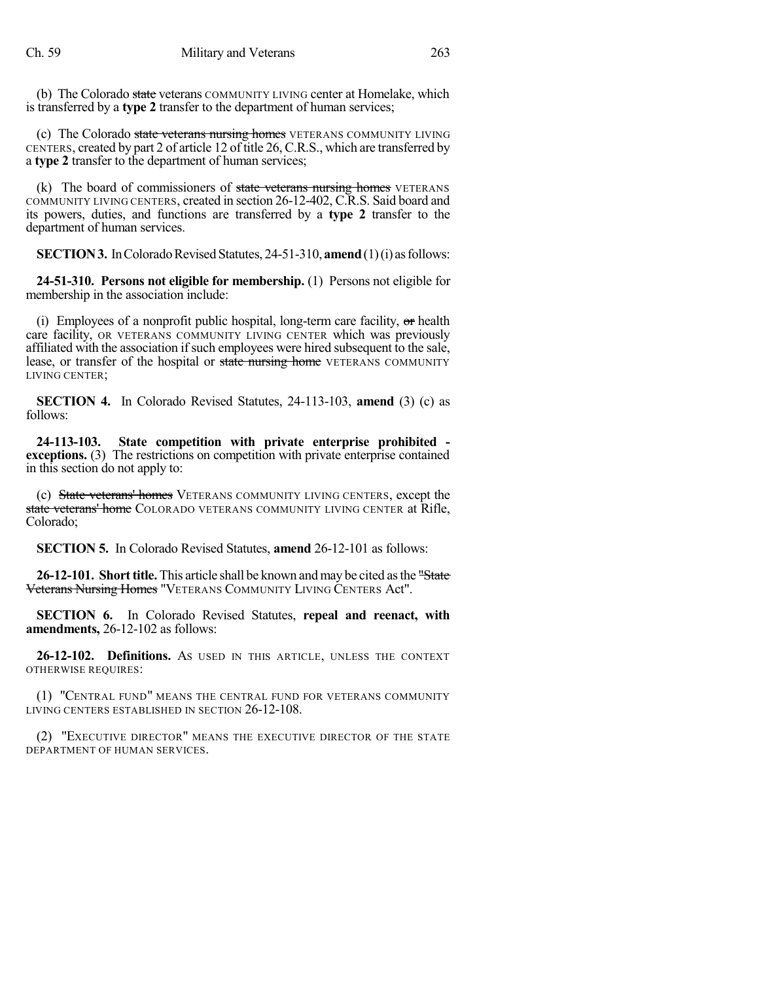(b) The Colorado state veterans COMMUNITY LIVING center at Homelake, which is transferred by a **type 2** transfer to the department of human services;

(c) The Colorado state veterans nursing homes VETERANS COMMUNITY LIVING CENTERS, created by part 2 of article 12 of title 26, C.R.S., which are transferred by a **type 2** transfer to the department of human services;

(k) The board of commissioners of  $state$  veterans nursing homes VETERANS COMMUNITY LIVING CENTERS, created in section 26-12-402, C.R.S. Said board and its powers, duties, and functions are transferred by a **type 2** transfer to the department of human services.

**SECTION 3.** In Colorado Revised Statutes, 24-51-310, **amend** (1)(i) as follows:

**24-51-310. Persons not eligible for membership.** (1) Persons not eligible for membership in the association include:

(i) Employees of a nonprofit public hospital, long-term care facility,  $\sigma$ r health care facility, OR VETERANS COMMUNITY LIVING CENTER which was previously affiliated with the association if such employees were hired subsequent to the sale, lease, or transfer of the hospital or state nursing home VETERANS COMMUNITY LIVING CENTER;

**SECTION 4.** In Colorado Revised Statutes, 24-113-103, **amend** (3) (c) as follows:

**24-113-103. State competition with private enterprise prohibited exceptions.** (3) The restrictions on competition with private enterprise contained in this section do not apply to:

(c) State veterans' homes VETERANS COMMUNITY LIVING CENTERS, except the state veterans' home COLORADO VETERANS COMMUNITY LIVING CENTER at Rifle, Colorado;

**SECTION 5.** In Colorado Revised Statutes, **amend** 26-12-101 as follows:

**26-12-101. Short title.** This article shall be known and may be cited as the "State" Veterans Nursing Homes "VETERANS COMMUNITY LIVING CENTERS Act".

**SECTION 6.** In Colorado Revised Statutes, **repeal and reenact, with amendments,** 26-12-102 as follows:

**26-12-102. Definitions.** AS USED IN THIS ARTICLE, UNLESS THE CONTEXT OTHERWISE REQUIRES:

(1) "CENTRAL FUND" MEANS THE CENTRAL FUND FOR VETERANS COMMUNITY LIVING CENTERS ESTABLISHED IN SECTION 26-12-108.

(2) "EXECUTIVE DIRECTOR" MEANS THE EXECUTIVE DIRECTOR OF THE STATE DEPARTMENT OF HUMAN SERVICES.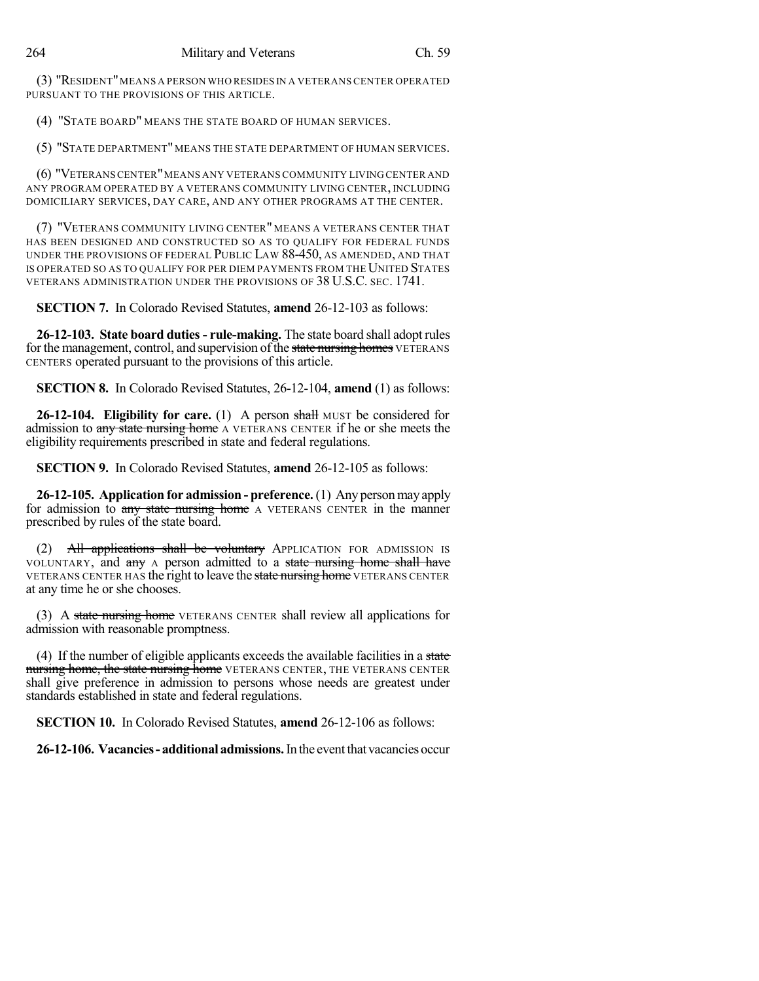(3) "RESIDENT"MEANS A PERSON WHO RESIDES IN A VETERANS CENTER OPERATED PURSUANT TO THE PROVISIONS OF THIS ARTICLE.

(4) "STATE BOARD" MEANS THE STATE BOARD OF HUMAN SERVICES.

(5) "STATE DEPARTMENT" MEANS THE STATE DEPARTMENT OF HUMAN SERVICES.

(6) "VETERANSCENTER"MEANS ANY VETERANS COMMUNITY LIVING CENTER AND ANY PROGRAM OPERATED BY A VETERANS COMMUNITY LIVING CENTER, INCLUDING DOMICILIARY SERVICES, DAY CARE, AND ANY OTHER PROGRAMS AT THE CENTER.

(7) "VETERANS COMMUNITY LIVING CENTER" MEANS A VETERANS CENTER THAT HAS BEEN DESIGNED AND CONSTRUCTED SO AS TO QUALIFY FOR FEDERAL FUNDS UNDER THE PROVISIONS OF FEDERAL PUBLIC LAW 88-450, AS AMENDED, AND THAT IS OPERATED SO AS TO QUALIFY FOR PER DIEM PAYMENTS FROM THE UNITED STATES VETERANS ADMINISTRATION UNDER THE PROVISIONS OF 38 U.S.C. SEC. 1741.

**SECTION 7.** In Colorado Revised Statutes, **amend** 26-12-103 as follows:

**26-12-103. State board duties- rule-making.** The state board shall adopt rules for the management, control, and supervision of the state nursing homes VETERANS CENTERS operated pursuant to the provisions of this article.

**SECTION 8.** In Colorado Revised Statutes, 26-12-104, **amend** (1) as follows:

**26-12-104. Eligibility for care.** (1) A person shall MUST be considered for admission to any state nursing home A VETERANS CENTER if he or she meets the eligibility requirements prescribed in state and federal regulations.

**SECTION 9.** In Colorado Revised Statutes, **amend** 26-12-105 as follows:

**26-12-105. Application for admission - preference.**(1) Any personmay apply for admission to any state nursing home A VETERANS CENTER in the manner prescribed by rules of the state board.

(2) All applications shall be voluntary APPLICATION FOR ADMISSION IS VOLUNTARY, and any A person admitted to a state nursing home shall have VETERANS CENTER HAS the right to leave the state nursing home VETERANS CENTER at any time he or she chooses.

(3) A state nursing home VETERANS CENTER shall review all applications for admission with reasonable promptness.

(4) If the number of eligible applicants exceeds the available facilities in a state nursing home, the state nursing home VETERANS CENTER, THE VETERANS CENTER shall give preference in admission to persons whose needs are greatest under standards established in state and federal regulations.

**SECTION 10.** In Colorado Revised Statutes, **amend** 26-12-106 as follows:

**26-12-106. Vacancies- additional admissions.**In the eventthat vacanciesoccur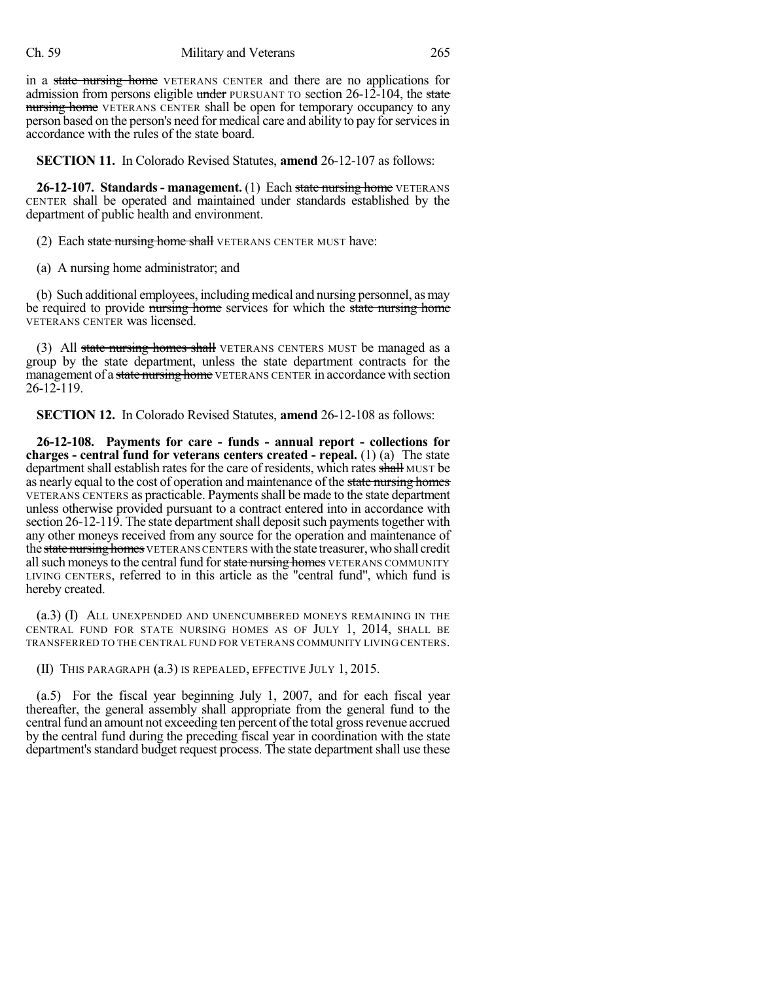### Ch. 59 Military and Veterans 265

in a state nursing home VETERANS CENTER and there are no applications for admission from persons eligible under PURSUANT TO section  $26-12-104$ , the state nursing home VETERANS CENTER shall be open for temporary occupancy to any person based on the person's need for medical care and ability to pay for services in accordance with the rules of the state board.

**SECTION 11.** In Colorado Revised Statutes, **amend** 26-12-107 as follows:

**26-12-107. Standards - management.** (1) Each state nursing home VETERANS CENTER shall be operated and maintained under standards established by the department of public health and environment.

(2) Each state nursing home shall VETERANS CENTER MUST have:

(a) A nursing home administrator; and

(b) Such additional employees, including medical and nursing personnel, asmay be required to provide mursing home services for which the state nursing home VETERANS CENTER was licensed.

(3) All state nursing homes shall VETERANS CENTERS MUST be managed as a group by the state department, unless the state department contracts for the management of a state nursing home VETERANS CENTER in accordance with section 26-12-119.

**SECTION 12.** In Colorado Revised Statutes, **amend** 26-12-108 as follows:

**26-12-108. Payments for care - funds - annual report - collections for charges - central fund for veterans centers created - repeal.** (1) (a) The state department shall establish rates for the care of residents, which rates shall MUST be as nearly equal to the cost of operation and maintenance of the state nursing homes VETERANS CENTERS as practicable. Paymentsshall be made to the state department unless otherwise provided pursuant to a contract entered into in accordance with section 26-12-119. The state department shall deposit such payments together with any other moneys received from any source for the operation and maintenance of the state nursing homes VETERANS CENTERS with the state treasurer, who shall credit all such moneys to the central fund for state nursing homes VETERANS COMMUNITY LIVING CENTERS, referred to in this article as the "central fund", which fund is hereby created.

(a.3) (I) ALL UNEXPENDED AND UNENCUMBERED MONEYS REMAINING IN THE CENTRAL FUND FOR STATE NURSING HOMES AS OF JULY 1, 2014, SHALL BE TRANSFERRED TO THE CENTRAL FUND FOR VETERANS COMMUNITY LIVING CENTERS.

(II) THIS PARAGRAPH (a.3) IS REPEALED, EFFECTIVE JULY 1, 2015.

(a.5) For the fiscal year beginning July 1, 2007, and for each fiscal year thereafter, the general assembly shall appropriate from the general fund to the central fund an amount not exceeding ten percent of the total gross revenue accrued by the central fund during the preceding fiscal year in coordination with the state department's standard budget request process. The state department shall use these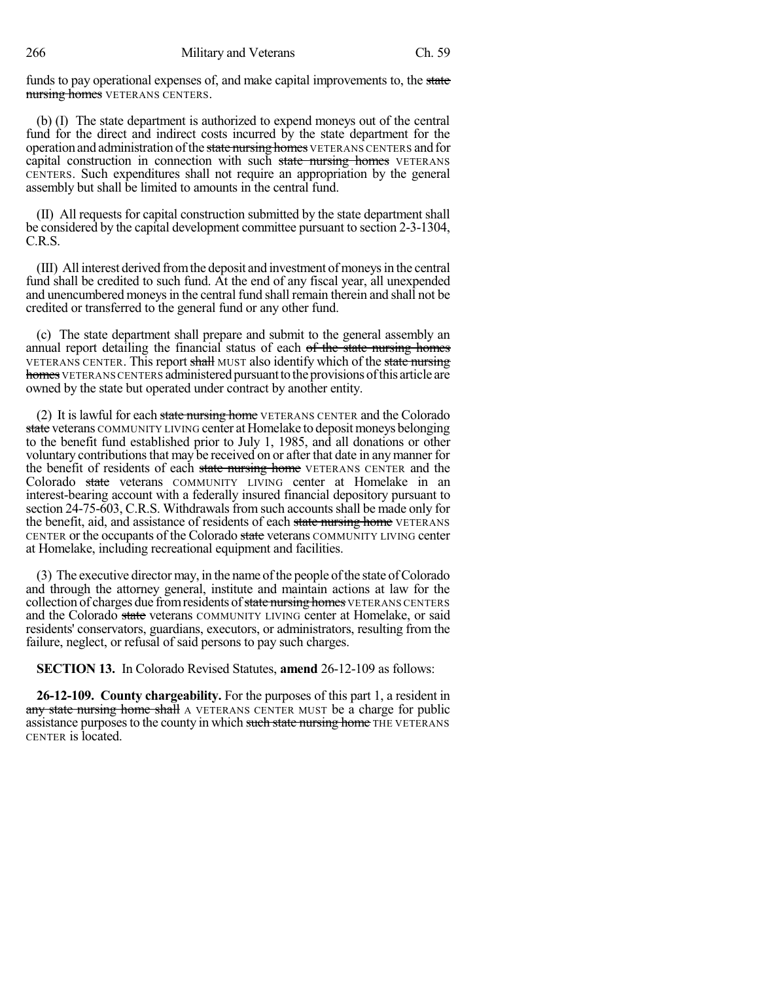funds to pay operational expenses of, and make capital improvements to, the state nursing homes VETERANS CENTERS.

(b) (I) The state department is authorized to expend moneys out of the central fund for the direct and indirect costs incurred by the state department for the operation and administration of the state nursing homes VETERANS CENTERS and for capital construction in connection with such state nursing homes VETERANS CENTERS. Such expenditures shall not require an appropriation by the general assembly but shall be limited to amounts in the central fund.

(II) All requests for capital construction submitted by the state department shall be considered by the capital development committee pursuant to section 2-3-1304, C.R.S.

(III) All interest derived fromthe deposit and investment of moneysin the central fund shall be credited to such fund. At the end of any fiscal year, all unexpended and unencumbered moneys in the central fund shall remain therein and shall not be credited or transferred to the general fund or any other fund.

(c) The state department shall prepare and submit to the general assembly an annual report detailing the financial status of each of the state nursing homes VETERANS CENTER. This report shall MUST also identify which of the state nursing homes VETERANS CENTERS administered pursuant to the provisions of this article are owned by the state but operated under contract by another entity.

(2) It is lawful for each state nursing home VETERANS CENTER and the Colorado state veterans COMMUNITY LIVING center at Homelake to deposit moneys belonging to the benefit fund established prior to July 1, 1985, and all donations or other voluntary contributionsthat may be received on or after that date in anymanner for the benefit of residents of each state nursing home VETERANS CENTER and the Colorado state veterans COMMUNITY LIVING center at Homelake in an interest-bearing account with a federally insured financial depository pursuant to section 24-75-603, C.R.S. Withdrawals from such accounts shall be made only for the benefit, aid, and assistance of residents of each state nursing home VETERANS CENTER or the occupants of the Colorado state veterans COMMUNITY LIVING center at Homelake, including recreational equipment and facilities.

(3) The executive director may, in the name of the people of the state of Colorado and through the attorney general, institute and maintain actions at law for the collection of charges due from residents of state nursing homes VETERANS CENTERS and the Colorado state veterans COMMUNITY LIVING center at Homelake, or said residents' conservators, guardians, executors, or administrators, resulting from the failure, neglect, or refusal of said persons to pay such charges.

**SECTION 13.** In Colorado Revised Statutes, **amend** 26-12-109 as follows:

**26-12-109. County chargeability.** For the purposes of this part 1, a resident in any state nursing home shall A VETERANS CENTER MUST be a charge for public assistance purposes to the county in which such state nursing home THE VETERANS CENTER is located.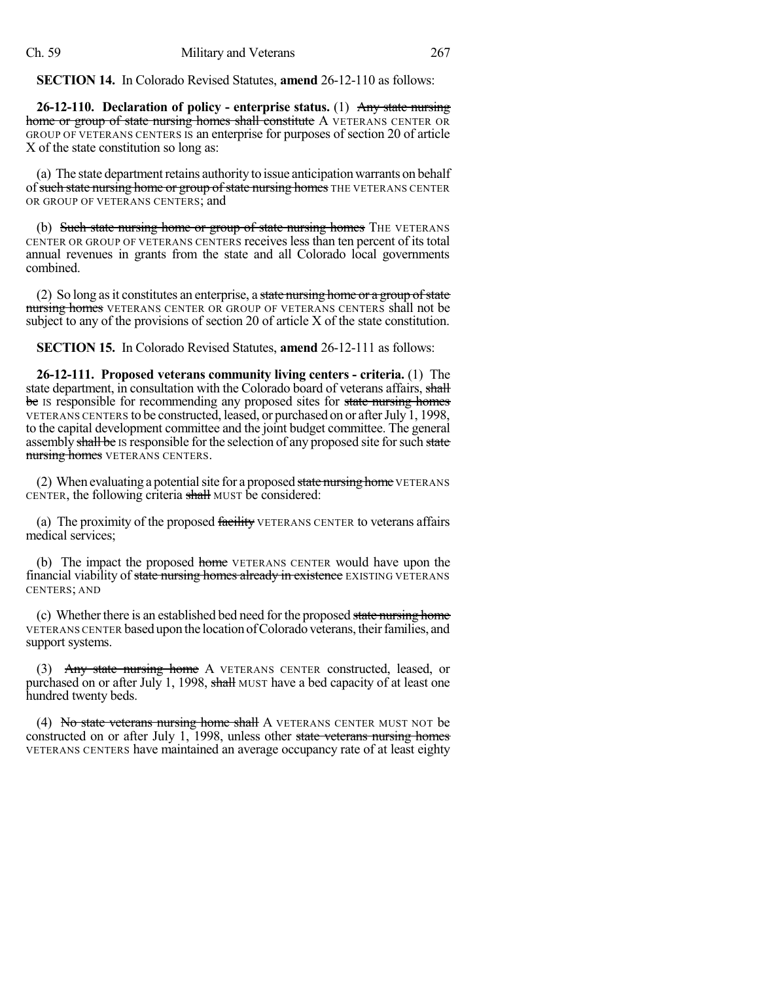**SECTION 14.** In Colorado Revised Statutes, **amend** 26-12-110 as follows:

**26-12-110. Declaration of policy - enterprise status.** (1) Any state nursing home or group of state nursing homes shall constitute A VETERANS CENTER OR GROUP OF VETERANS CENTERS IS an enterprise for purposes of section 20 of article X of the state constitution so long as:

(a) The state department retains authority to issue anticipation warrants on behalf of such state nursing home or group of state nursing homes THE VETERANS CENTER OR GROUP OF VETERANS CENTERS; and

(b) Such state nursing home or group of state nursing homes THE VETERANS CENTER OR GROUP OF VETERANS CENTERS receives less than ten percent of its total annual revenues in grants from the state and all Colorado local governments combined.

(2) So long as it constitutes an enterprise, a state nursing home or a group of state nursing homes VETERANS CENTER OR GROUP OF VETERANS CENTERS shall not be subject to any of the provisions of section 20 of article X of the state constitution.

**SECTION 15.** In Colorado Revised Statutes, **amend** 26-12-111 as follows:

**26-12-111. Proposed veterans community living centers - criteria.** (1) The state department, in consultation with the Colorado board of veterans affairs, shall be Is responsible for recommending any proposed sites for state nursing homes VETERANS CENTERS to be constructed, leased, or purchased on or afterJuly 1, 1998, to the capital development committee and the joint budget committee. The general assembly shall be IS responsible for the selection of any proposed site for such state nursing homes VETERANS CENTERS.

(2) When evaluating a potential site for a proposed state nursing home VETERANS CENTER, the following criteria shall MUST be considered:

(a) The proximity of the proposed facility VETERANS CENTER to veterans affairs medical services;

(b) The impact the proposed home VETERANS CENTER would have upon the financial viability of state nursing homes already in existence EXISTING VETERANS CENTERS; AND

(c) Whether there is an established bed need for the proposed state nursing home VETERANS CENTER basedupon the location ofColorado veterans, theirfamilies, and support systems.

(3) Any state nursing home A VETERANS CENTER constructed, leased, or purchased on or after July 1, 1998, shall MUST have a bed capacity of at least one hundred twenty beds.

(4) No state veterans nursing home shall A VETERANS CENTER MUST NOT be constructed on or after July 1, 1998, unless other state veterans nursing homes VETERANS CENTERS have maintained an average occupancy rate of at least eighty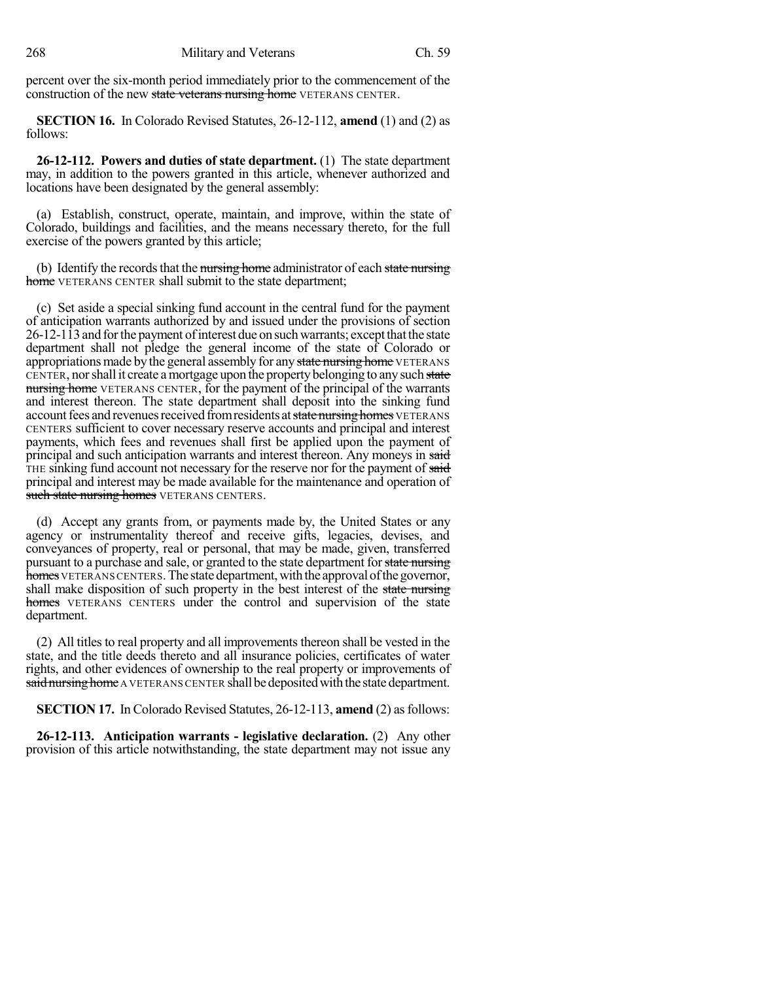percent over the six-month period immediately prior to the commencement of the construction of the new state veterans nursing home VETERANS CENTER.

**SECTION 16.** In Colorado Revised Statutes, 26-12-112, **amend** (1) and (2) as follows:

**26-12-112. Powers and duties of state department.** (1) The state department may, in addition to the powers granted in this article, whenever authorized and locations have been designated by the general assembly:

(a) Establish, construct, operate, maintain, and improve, within the state of Colorado, buildings and facilities, and the means necessary thereto, for the full exercise of the powers granted by this article;

(b) Identify the records that the nursing home administrator of each state nursing home VETERANS CENTER shall submit to the state department;

(c) Set aside a special sinking fund account in the central fund for the payment of anticipation warrants authorized by and issued under the provisions of section  $26-12-113$  and for the payment of interest due on such warrants; except that the state department shall not pledge the general income of the state of Colorado or appropriations made by the general assembly for any state nursing home VETERANS CENTER, nor shall it create a mortgage upon the property belonging to any such state nursing home VETERANS CENTER, for the payment of the principal of the warrants and interest thereon. The state department shall deposit into the sinking fund account fees and revenues received from residents at state nursing homes VETERANS CENTERS sufficient to cover necessary reserve accounts and principal and interest payments, which fees and revenues shall first be applied upon the payment of principal and such anticipation warrants and interest thereon. Any moneys in said THE sinking fund account not necessary for the reserve nor for the payment of said principal and interest may be made available for the maintenance and operation of such state nursing homes VETERANS CENTERS.

(d) Accept any grants from, or payments made by, the United States or any agency or instrumentality thereof and receive gifts, legacies, devises, and conveyances of property, real or personal, that may be made, given, transferred pursuant to a purchase and sale, or granted to the state department for state nursing homes VETERANS CENTERS. The state department, with the approval of the governor, shall make disposition of such property in the best interest of the state nursing homes VETERANS CENTERS under the control and supervision of the state department.

(2) All titles to real property and all improvements thereon shall be vested in the state, and the title deeds thereto and all insurance policies, certificates of water rights, and other evidences of ownership to the real property or improvements of said nursing home A VETERANS CENTER shall be deposited with the state department.

**SECTION 17.** In Colorado Revised Statutes, 26-12-113, **amend** (2) as follows:

**26-12-113. Anticipation warrants - legislative declaration.** (2) Any other provision of this article notwithstanding, the state department may not issue any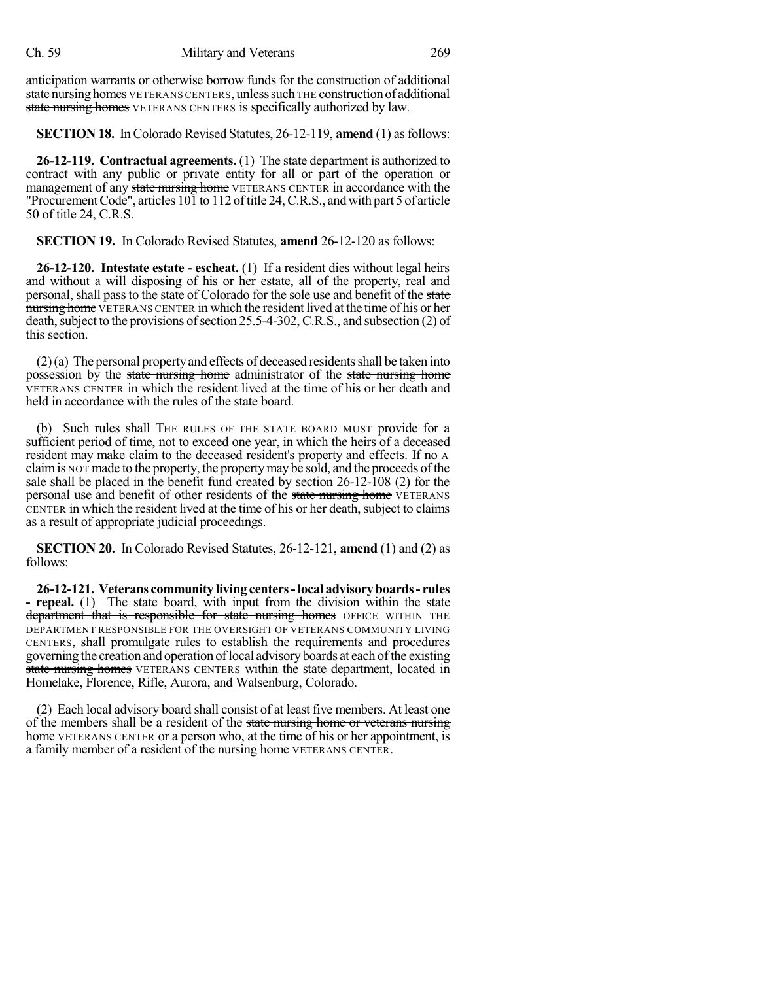anticipation warrants or otherwise borrow funds for the construction of additional state nursing homes VETERANS CENTERS, unless such THE construction of additional state nursing homes VETERANS CENTERS is specifically authorized by law.

**SECTION 18.** In Colorado Revised Statutes, 26-12-119, **amend** (1) asfollows:

**26-12-119. Contractual agreements.** (1) The state department is authorized to contract with any public or private entity for all or part of the operation or management of any state nursing home VETERANS CENTER in accordance with the "ProcurementCode", articles 101 to 112 oftitle 24,C.R.S., andwith part 5 of article 50 of title 24, C.R.S.

**SECTION 19.** In Colorado Revised Statutes, **amend** 26-12-120 as follows:

**26-12-120. Intestate estate - escheat.** (1) If a resident dies without legal heirs and without a will disposing of his or her estate, all of the property, real and personal, shall pass to the state of Colorado for the sole use and benefit of the state nursing home VETERANS CENTER in which the resident lived at the time of his or her death, subject to the provisions of section 25.5-4-302, C.R.S., and subsection (2) of this section.

 $(2)$ (a) The personal property and effects of deceased residents shall be taken into possession by the state nursing home administrator of the state nursing home VETERANS CENTER in which the resident lived at the time of his or her death and held in accordance with the rules of the state board.

(b) Such rules shall THE RULES OF THE STATE BOARD MUST provide for a sufficient period of time, not to exceed one year, in which the heirs of a deceased resident may make claim to the deceased resident's property and effects. If no A claimis NOT made to the property, the propertymay be sold, and the proceeds ofthe sale shall be placed in the benefit fund created by section 26-12-108 (2) for the personal use and benefit of other residents of the state nursing home VETERANS CENTER in which the resident lived at the time of his or her death, subject to claims as a result of appropriate judicial proceedings.

**SECTION 20.** In Colorado Revised Statutes, 26-12-121, **amend** (1) and (2) as follows:

**26-12-121. Veterans community living centers-local advisoryboards- rules - repeal.** (1) The state board, with input from the division within the state department that is responsible for state nursing homes OFFICE WITHIN THE DEPARTMENT RESPONSIBLE FOR THE OVERSIGHT OF VETERANS COMMUNITY LIVING CENTERS, shall promulgate rules to establish the requirements and procedures governing the creation and operation oflocal advisoryboards at each ofthe existing state nursing homes VETERANS CENTERS within the state department, located in Homelake, Florence, Rifle, Aurora, and Walsenburg, Colorado.

(2) Each local advisory board shall consist of at least five members. At least one of the members shall be a resident of the state nursing home or veterans nursing home VETERANS CENTER or a person who, at the time of his or her appointment, is a family member of a resident of the nursing home VETERANS CENTER.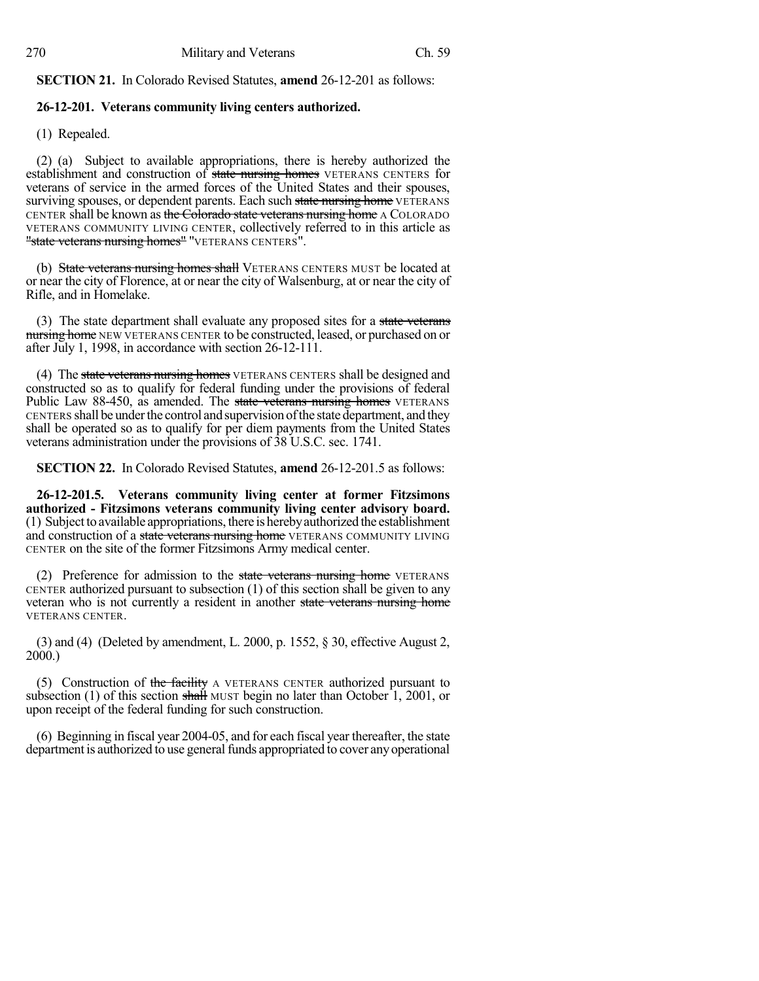**SECTION 21.** In Colorado Revised Statutes, **amend** 26-12-201 as follows:

### **26-12-201. Veterans community living centers authorized.**

(1) Repealed.

(2) (a) Subject to available appropriations, there is hereby authorized the establishment and construction of state nursing homes VETERANS CENTERS for veterans of service in the armed forces of the United States and their spouses, surviving spouses, or dependent parents. Each such state nursing home VETERANS CENTER shall be known as the Colorado state veterans nursing home A COLORADO VETERANS COMMUNITY LIVING CENTER, collectively referred to in this article as "state veterans nursing homes" "VETERANS CENTERS".

(b) State veterans nursing homes shall VETERANS CENTERS MUST be located at or near the city of Florence, at or near the city of Walsenburg, at or near the city of Rifle, and in Homelake.

(3) The state department shall evaluate any proposed sites for a state veterans nursing home NEW VETERANS CENTER to be constructed, leased, or purchased on or after July 1, 1998, in accordance with section 26-12-111.

(4) The state veterans nursing homes VETERANS CENTERS shall be designed and constructed so as to qualify for federal funding under the provisions of federal Public Law 88-450, as amended. The state veterans nursing homes VETERANS CENTERS shall be under the control and supervision of the state department, and they shall be operated so as to qualify for per diem payments from the United States veterans administration under the provisions of 38 U.S.C. sec. 1741.

**SECTION 22.** In Colorado Revised Statutes, **amend** 26-12-201.5 as follows:

**26-12-201.5. Veterans community living center at former Fitzsimons authorized - Fitzsimons veterans community living center advisory board.** (1) Subjectto available appropriations, there is herebyauthorized the establishment and construction of a state veterans nursing home VETERANS COMMUNITY LIVING CENTER on the site of the former Fitzsimons Army medical center.

(2) Preference for admission to the state veterans nursing home VETERANS CENTER authorized pursuant to subsection (1) of this section shall be given to any veteran who is not currently a resident in another state veterans nursing home VETERANS CENTER.

(3) and (4) (Deleted by amendment, L. 2000, p. 1552, § 30, effective August 2, 2000.)

(5) Construction of the facility A VETERANS CENTER authorized pursuant to subsection (1) of this section shall MUST begin no later than October 1, 2001, or upon receipt of the federal funding for such construction.

(6) Beginning in fiscal year 2004-05, and for each fiscal year thereafter, the state department is authorized to use general funds appropriated to cover any operational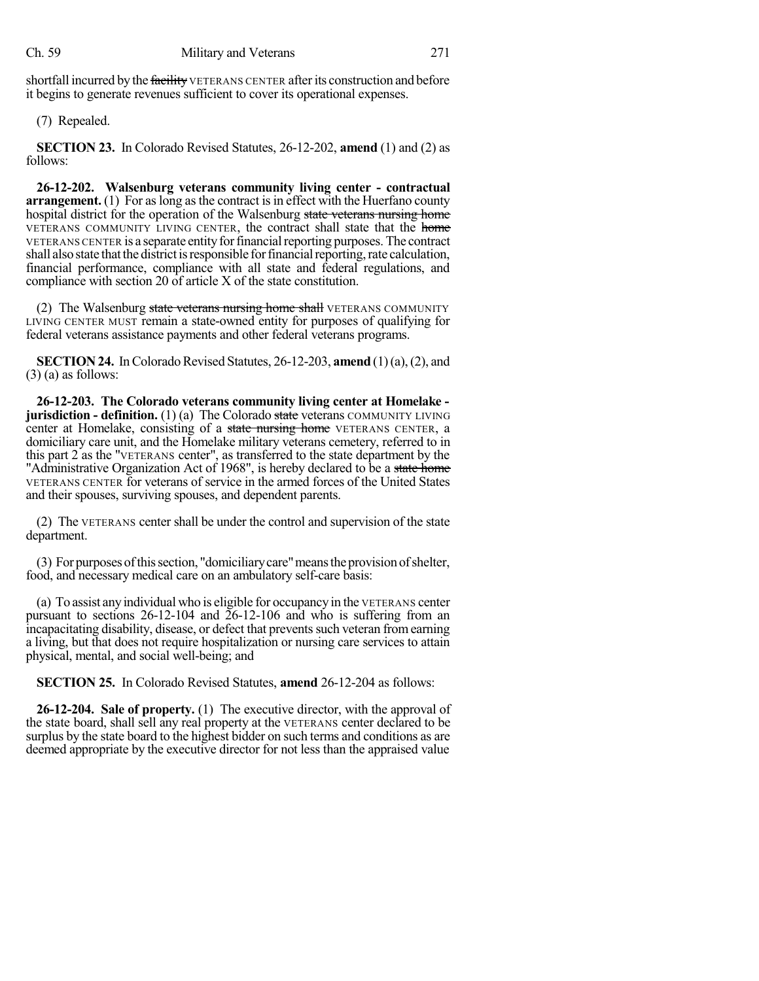shortfall incurred by the facility VETERANS CENTER after its construction and before it begins to generate revenues sufficient to cover its operational expenses.

(7) Repealed.

**SECTION 23.** In Colorado Revised Statutes, 26-12-202, **amend** (1) and (2) as follows:

**26-12-202. Walsenburg veterans community living center - contractual arrangement.** (1) For as long as the contract is in effect with the Huerfano county hospital district for the operation of the Walsenburg state veterans nursing home VETERANS COMMUNITY LIVING CENTER, the contract shall state that the home VETERANS CENTER is a separate entity for financial reporting purposes. The contract shall also state that the district is responsible for financial reporting, rate calculation, financial performance, compliance with all state and federal regulations, and compliance with section 20 of article X of the state constitution.

(2) The Walsenburg state veterans nursing home shall VETERANS COMMUNITY LIVING CENTER MUST remain a state-owned entity for purposes of qualifying for federal veterans assistance payments and other federal veterans programs.

**SECTION 24.** In Colorado Revised Statutes, 26-12-203, **amend** (1)(a), (2), and  $(3)$  (a) as follows:

**26-12-203. The Colorado veterans community living center at Homelake jurisdiction - definition.** (1) (a) The Colorado state veterans COMMUNITY LIVING center at Homelake, consisting of a state nursing home VETERANS CENTER, a domiciliary care unit, and the Homelake military veterans cemetery, referred to in this part 2 as the "VETERANS center", as transferred to the state department by the "Administrative Organization Act of 1968", is hereby declared to be a state home VETERANS CENTER for veterans of service in the armed forces of the United States and their spouses, surviving spouses, and dependent parents.

(2) The VETERANS center shall be under the control and supervision of the state department.

(3) For purposesofthissection, "domiciliarycare"meanstheprovisionofshelter, food, and necessary medical care on an ambulatory self-care basis:

(a) To assist anyindividual who is eligible for occupancy in the VETERANS center pursuant to sections 26-12-104 and 26-12-106 and who is suffering from an incapacitating disability, disease, or defect that preventssuch veteran fromearning a living, but that does not require hospitalization or nursing care services to attain physical, mental, and social well-being; and

**SECTION 25.** In Colorado Revised Statutes, **amend** 26-12-204 as follows:

**26-12-204. Sale of property.** (1) The executive director, with the approval of the state board, shall sell any real property at the VETERANS center declared to be surplus by the state board to the highest bidder on such terms and conditions as are deemed appropriate by the executive director for not less than the appraised value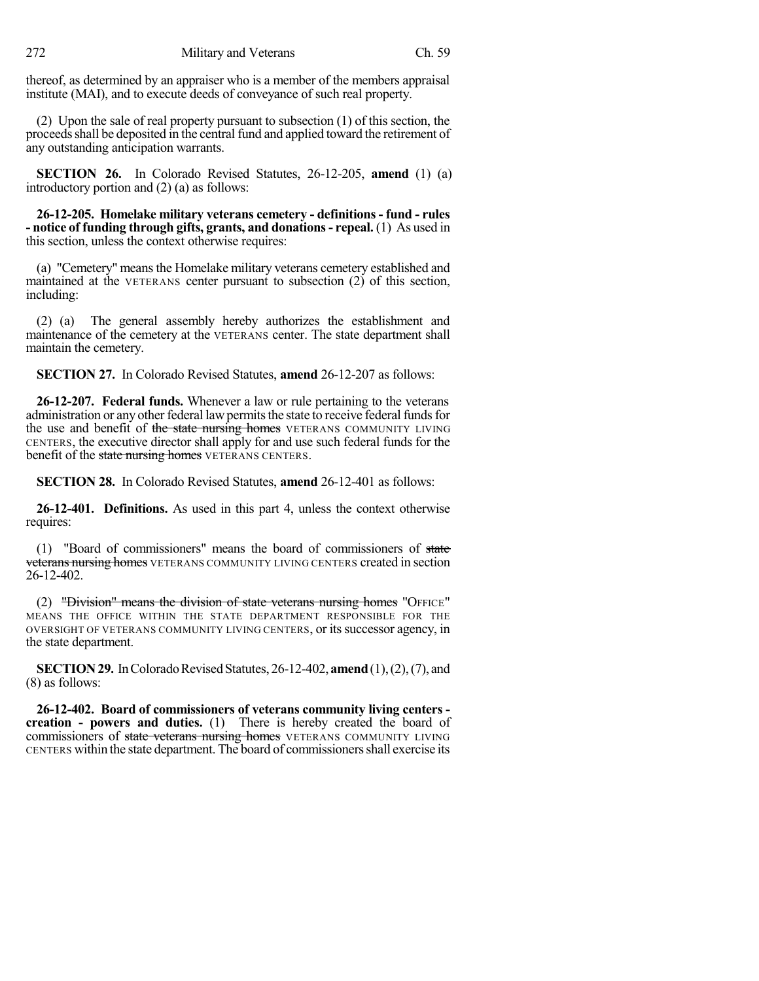thereof, as determined by an appraiser who is a member of the members appraisal institute (MAI), and to execute deeds of conveyance of such real property.

(2) Upon the sale of real property pursuant to subsection (1) of this section, the proceedsshall be deposited in the central fund and applied toward the retirement of any outstanding anticipation warrants.

**SECTION 26.** In Colorado Revised Statutes, 26-12-205, **amend** (1) (a) introductory portion and (2) (a) as follows:

**26-12-205. Homelake military veterans cemetery - definitions- fund - rules - notice of funding through gifts, grants, and donations- repeal.** (1) As used in this section, unless the context otherwise requires:

(a) "Cemetery" means the Homelake military veterans cemetery established and maintained at the VETERANS center pursuant to subsection (2) of this section, including:

(2) (a) The general assembly hereby authorizes the establishment and maintenance of the cemetery at the VETERANS center. The state department shall maintain the cemetery.

**SECTION 27.** In Colorado Revised Statutes, **amend** 26-12-207 as follows:

**26-12-207. Federal funds.** Whenever a law or rule pertaining to the veterans administration or any other federal law permits the state to receive federal funds for the use and benefit of the state nursing homes VETERANS COMMUNITY LIVING CENTERS, the executive director shall apply for and use such federal funds for the benefit of the state nursing homes VETERANS CENTERS.

**SECTION 28.** In Colorado Revised Statutes, **amend** 26-12-401 as follows:

**26-12-401. Definitions.** As used in this part 4, unless the context otherwise requires:

 $(1)$  "Board of commissioners" means the board of commissioners of state veterans nursing homes VETERANS COMMUNITY LIVING CENTERS created in section 26-12-402.

(2) "Division" means the division of state veterans nursing homes "OFFICE" MEANS THE OFFICE WITHIN THE STATE DEPARTMENT RESPONSIBLE FOR THE OVERSIGHT OF VETERANS COMMUNITY LIVING CENTERS, or itssuccessor agency, in the state department.

**SECTION 29.** In Colorado Revised Statutes, 26-12-402, **amend** (1), (2), (7), and (8) as follows:

**26-12-402. Board of commissioners of veterans community living centers creation - powers and duties.** (1) There is hereby created the board of commissioners of state veterans nursing homes VETERANS COMMUNITY LIVING CENTERS within the state department. The board of commissionersshall exercise its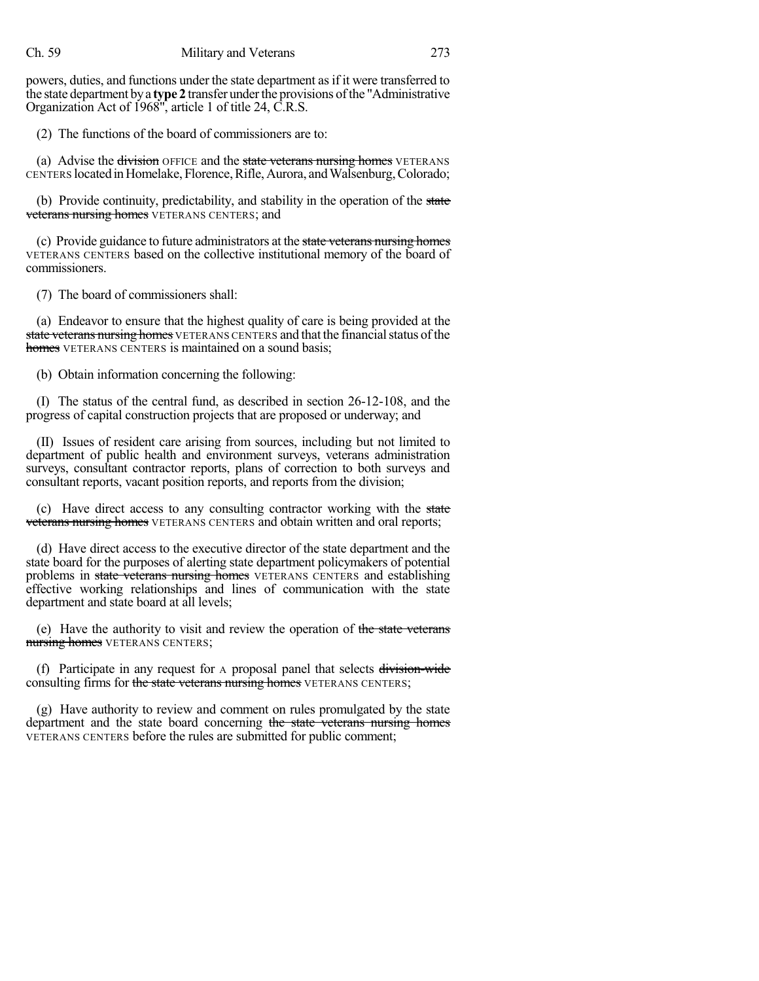powers, duties, and functions under the state department as if it were transferred to the state department bya **type 2** transfer underthe provisions ofthe "Administrative Organization Act of 1968", article 1 of title 24, C.R.S.

(2) The functions of the board of commissioners are to:

(a) Advise the division OFFICE and the state veterans nursing homes VETERANS CENTERS locatedinHomelake, Florence,Rifle,Aurora, andWalsenburg,Colorado;

(b) Provide continuity, predictability, and stability in the operation of the state **veterans nursing homes** VETERANS CENTERS; and

(c) Provide guidance to future administrators at the state veterans nursing homes VETERANS CENTERS based on the collective institutional memory of the board of commissioners.

(7) The board of commissioners shall:

(a) Endeavor to ensure that the highest quality of care is being provided at the state veterans nursing homes VETERANS CENTERS and that the financial status of the homes VETERANS CENTERS is maintained on a sound basis;

(b) Obtain information concerning the following:

(I) The status of the central fund, as described in section 26-12-108, and the progress of capital construction projects that are proposed or underway; and

(II) Issues of resident care arising from sources, including but not limited to department of public health and environment surveys, veterans administration surveys, consultant contractor reports, plans of correction to both surveys and consultant reports, vacant position reports, and reports from the division;

(c) Have direct access to any consulting contractor working with the state veterans nursing homes VETERANS CENTERS and obtain written and oral reports;

(d) Have direct access to the executive director of the state department and the state board for the purposes of alerting state department policymakers of potential problems in state veterans nursing homes VETERANS CENTERS and establishing effective working relationships and lines of communication with the state department and state board at all levels;

(e) Have the authority to visit and review the operation of the state veterans nursing homes VETERANS CENTERS;

(f) Participate in any request for A proposal panel that selects division-wide consulting firms for the state veterans nursing homes VETERANS CENTERS;

(g) Have authority to review and comment on rules promulgated by the state department and the state board concerning the state veterans nursing homes VETERANS CENTERS before the rules are submitted for public comment;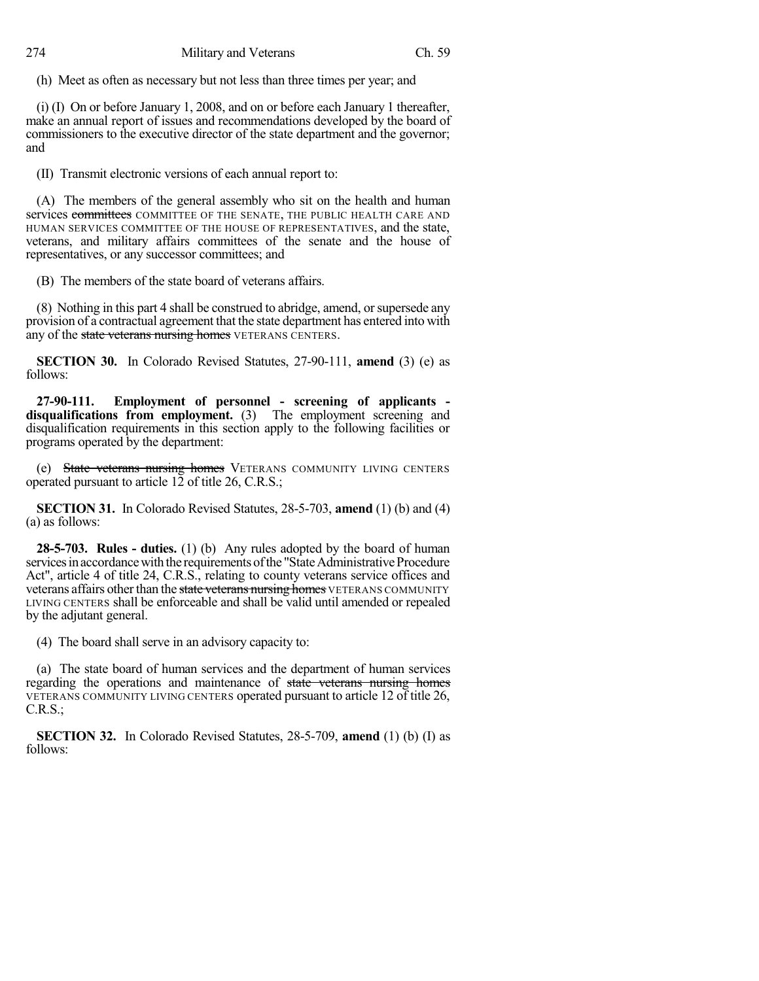(h) Meet as often as necessary but not less than three times per year; and

(i) (I) On or before January 1, 2008, and on or before each January 1 thereafter, make an annual report of issues and recommendations developed by the board of commissioners to the executive director of the state department and the governor; and

(II) Transmit electronic versions of each annual report to:

(A) The members of the general assembly who sit on the health and human services committees COMMITTEE OF THE SENATE, THE PUBLIC HEALTH CARE AND HUMAN SERVICES COMMITTEE OF THE HOUSE OF REPRESENTATIVES, and the state, veterans, and military affairs committees of the senate and the house of representatives, or any successor committees; and

(B) The members of the state board of veterans affairs.

(8) Nothing in this part 4 shall be construed to abridge, amend, orsupersede any provision of a contractual agreement that the state department has entered into with any of the state veterans nursing homes VETERANS CENTERS.

**SECTION 30.** In Colorado Revised Statutes, 27-90-111, **amend** (3) (e) as follows:

**27-90-111. Employment of personnel - screening of applicants disqualifications from employment.** (3) The employment screening and disqualification requirements in this section apply to the following facilities or programs operated by the department:

(e) State veterans nursing homes VETERANS COMMUNITY LIVING CENTERS operated pursuant to article 12 of title 26, C.R.S.;

**SECTION 31.** In Colorado Revised Statutes, 28-5-703, **amend** (1) (b) and (4) (a) as follows:

**28-5-703. Rules - duties.** (1) (b) Any rules adopted by the board of human services in accordance with the requirements of the "State Administrative Procedure Act", article 4 of title 24, C.R.S., relating to county veterans service offices and veterans affairs other than the state veterans nursing homes VETERANS COMMUNITY LIVING CENTERS shall be enforceable and shall be valid until amended or repealed by the adjutant general.

(4) The board shall serve in an advisory capacity to:

(a) The state board of human services and the department of human services regarding the operations and maintenance of state veterans nursing homes VETERANS COMMUNITY LIVING CENTERS operated pursuant to article 12 of title 26, C.R.S.;

**SECTION 32.** In Colorado Revised Statutes, 28-5-709, **amend** (1) (b) (I) as follows: